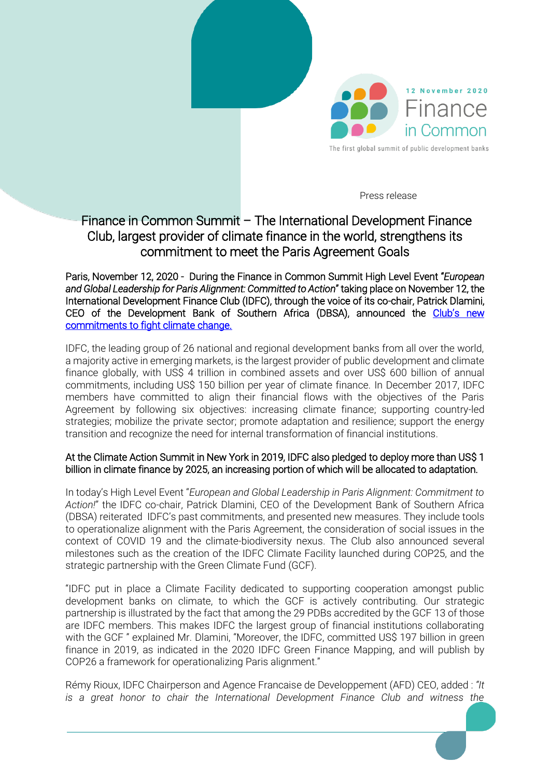

Press release

## Finance in Common Summit – The International Development Finance Club, largest provider of climate finance in the world, strengthens its commitment to meet the Paris Agreement Goals

Paris, November 12, 2020 - During the Finance in Common Summit High Level Event "*European and Global Leadership for Paris Alignment: Committed to Action*" taking place on November 12, the International Development Finance Club (IDFC), through the voice of its co-chair, Patrick Dlamini, CEO of the Development Bank of Southern Africa (DBSA), announced the [Club's new](https://www.idfc.org/publication/idfc-2020-climate-commitments-media-brief/)  [commitments to fight climate change.](https://www.idfc.org/publication/idfc-2020-climate-commitments-media-brief/) 

IDFC, the leading group of 26 national and regional development banks from all over the world, a majority active in emerging markets, is the largest provider of public development and climate finance globally, with US\$ 4 trillion in combined assets and over US\$ 600 billion of annual commitments, including US\$ 150 billion per year of climate finance. In December 2017, IDFC members have committed to align their financial flows with the objectives of the Paris Agreement by following six objectives: increasing climate finance; supporting country-led strategies; mobilize the private sector; promote adaptation and resilience; support the energy transition and recognize the need for internal transformation of financial institutions.

## At the Climate Action Summit in New York in 2019, IDFC also pledged to deploy more than US\$ 1 billion in climate finance by 2025, an increasing portion of which will be allocated to adaptation.

In today's High Level Event "*European and Global Leadership in Paris Alignment: Commitment to Action!*" the IDFC co-chair, Patrick Dlamini, CEO of the Development Bank of Southern Africa (DBSA) reiterated IDFC's past commitments, and presented new measures. They include tools to operationalize alignment with the Paris Agreement, the consideration of social issues in the context of COVID 19 and the climate-biodiversity nexus. The Club also announced several milestones such as the creation of the IDFC Climate Facility launched during COP25, and the strategic partnership with the Green Climate Fund (GCF).

"IDFC put in place a Climate Facility dedicated to supporting cooperation amongst public development banks on climate, to which the GCF is actively contributing. Our strategic partnership is illustrated by the fact that among the 29 PDBs accredited by the GCF 13 of those are IDFC members. This makes IDFC the largest group of financial institutions collaborating with the GCF" explained Mr. Dlamini, "Moreover, the IDFC, committed US\$ 197 billion in green finance in 2019, as indicated in the 2020 IDFC Green Finance Mapping, and will publish by COP26 a framework for operationalizing Paris alignment."

Rémy Rioux, IDFC Chairperson and Agence Francaise de Developpement (AFD) CEO, added : *"It is a great honor to chair the International Development Finance Club and witness the*